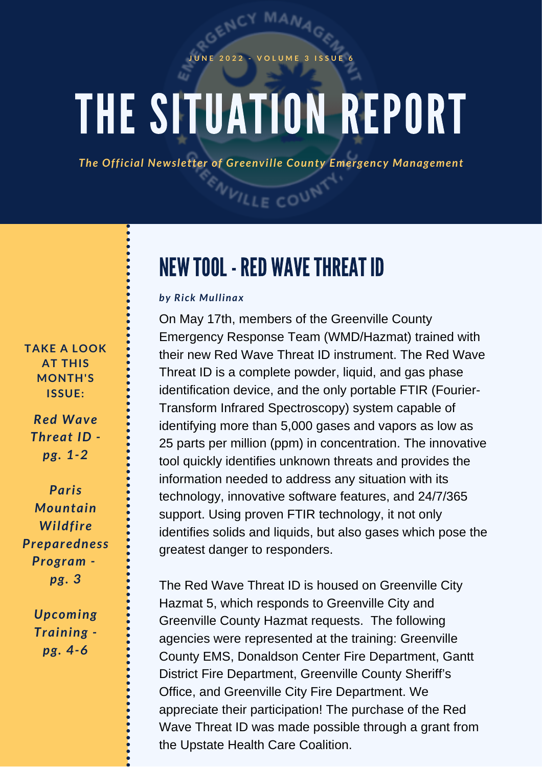# *Absorberry SITUATION REPORT*

*The Official Newsletter of Greenville County Emergency Management*

**ENVILLE COUNT** 

NEW TOOL -RED WAVETHREATID

*by Rick Mullinax*

**TAKE A LOOK AT THIS MONTH'S ISSUE:**

*Red Wave Threat ID pg. 1-2*

*Paris Mountain Wildfire Preparedness Program pg. 3*

> *Upcoming Training pg. 4-6*

## On May 17th, members of the Greenville County Emergency Response Team (WMD/Hazmat) trained with their new Red Wave Threat ID instrument. The Red Wave Threat ID is a complete powder, liquid, and gas phase identification device, and the only portable FTIR (Fourier-Transform Infrared Spectroscopy) system capable of identifying more than 5,000 gases and vapors as low as 25 parts per million (ppm) in concentration. The innovative tool quickly identifies unknown threats and provides the information needed to address any situation with its technology, innovative software features, and 24/7/365 support. Using proven FTIR technology, it not only identifies solids and liquids, but also gases which pose the greatest danger to responders.

The Red Wave Threat ID is housed on Greenville City Hazmat 5, which responds to Greenville City and Greenville County Hazmat requests. The following agencies were represented at the training: Greenville County EMS, Donaldson Center Fire Department, Gantt District Fire Department, Greenville County Sheriff's Office, and Greenville City Fire Department. We appreciate their participation! The purchase of the Red Wave Threat ID was made possible through a grant from the Upstate Health Care Coalition.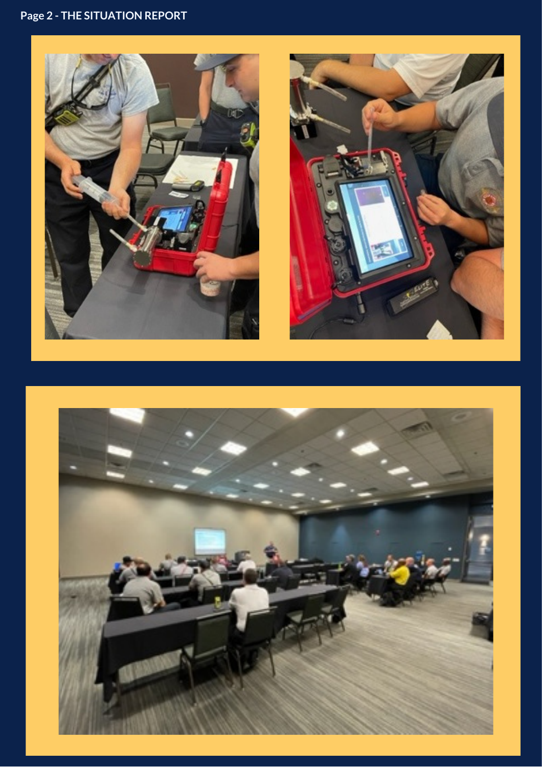## **Page 2 - THE SITUATION REPORT**



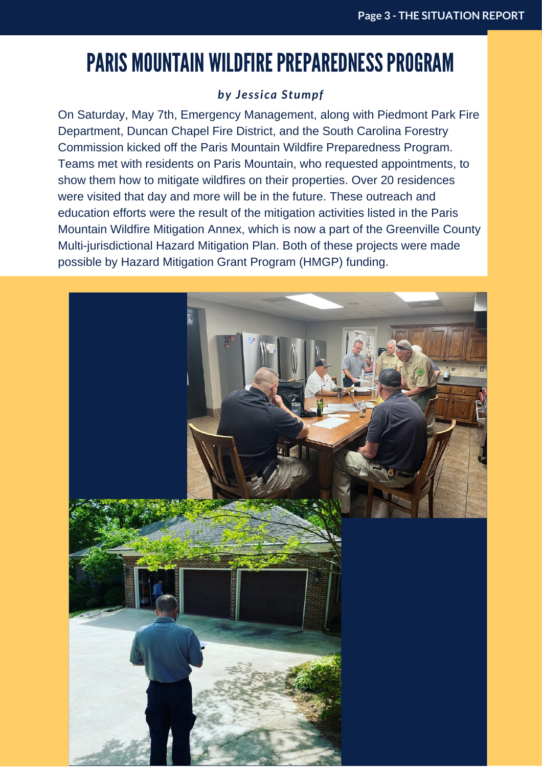## PARIS MOUNTAIN WILDFIRE PREPAREDNESS PROGRAM

#### *by Jessica Stumpf*

On Saturday, May 7th, Emergency Management, along with Piedmont Park Fire Department, Duncan Chapel Fire District, and the South Carolina Forestry Commission kicked off the Paris Mountain Wildfire Preparedness Program. Teams met with residents on Paris Mountain, who requested appointments, to show them how to mitigate wildfires on their properties. Over 20 residences were visited that day and more will be in the future. These outreach and education efforts were the result of the mitigation activities listed in the Paris Mountain Wildfire Mitigation Annex, which is now a part of the Greenville County Multi-jurisdictional Hazard Mitigation Plan. Both of these projects were made possible by Hazard Mitigation Grant Program (HMGP) funding.

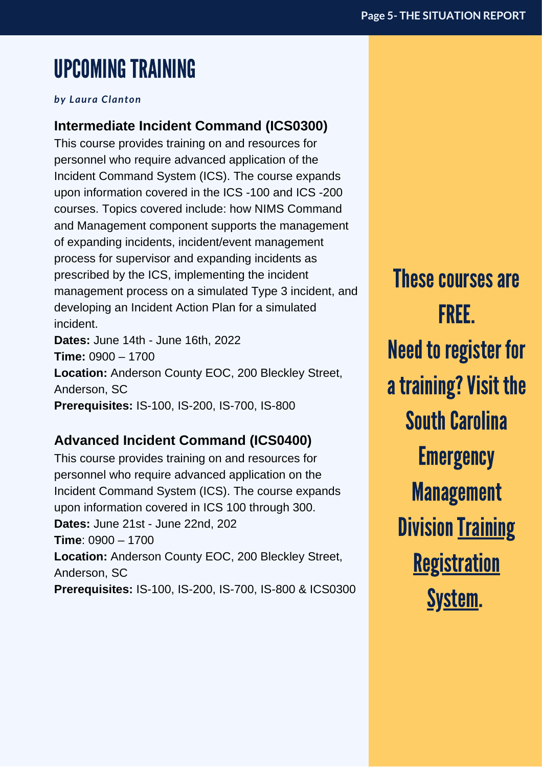# UPCOMING TRAINING

*by Laura Clanton*

#### **Intermediate Incident Command (ICS0300)**

This course provides training on and resources for personnel who require advanced application of the Incident Command System (ICS). The course expands upon information covered in the ICS -100 and ICS -200 courses. Topics covered include: how NIMS Command and Management component supports the management of expanding incidents, incident/event management process for supervisor and expanding incidents as prescribed by the ICS, implementing the incident management process on a simulated Type 3 incident, and developing an Incident Action Plan for a simulated incident.

**Dates:** June 14th - June 16th, 2022 **Time:** 0900 – 1700 **Location:** Anderson County EOC, 200 Bleckley Street, Anderson, SC **Prerequisites:** IS-100, IS-200, IS-700, IS-800

### **Advanced Incident Command (ICS0400)**

This course provides training on and resources for personnel who require advanced application on the Incident Command System (ICS). The course expands upon information covered in ICS 100 through 300. **Dates:** June 21st - June 22nd, 202 **Time**: 0900 – 1700 **Location:** Anderson County EOC, 200 Bleckley Street, Anderson, SC **Prerequisites:** IS-100, IS-200, IS-700, IS-800 & ICS0300

**These courses are** FREE. **Need to register for** a training? Visit the **South Carolina Emergency** Management **Division Training Registration** System.